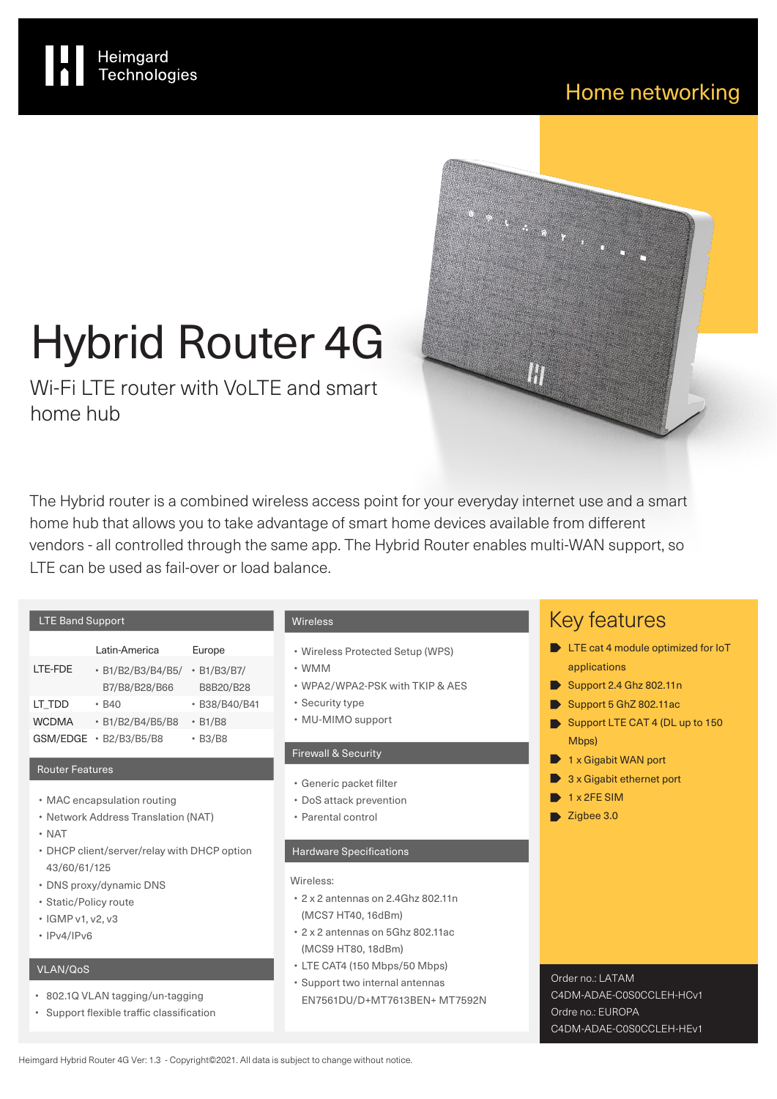$\cdots$ 

en general<br>Statistics<br>Statistics

# Hybrid Router 4G

Heimgard<br>Technologies

Wi-Fi LTF router with VoLTF and smart home hub

The Hybrid router is a combined wireless access point for your everyday internet use and a smart home hub that allows you to take advantage of smart home devices available from different vendors - all controlled through the same app. The Hybrid Router enables multi-WAN support, so LTE can be used as fail-over or load balance.

|              | Latin-America     | Europe        |
|--------------|-------------------|---------------|
| LTE-FDE      | • B1/B2/B3/B4/B5/ | • B1/B3/B7/   |
|              | B7/B8/B28/B66     | B8B20/B28     |
| LT TDD       | • B40             | · B38/B40/B41 |
| <b>WCDMA</b> | • B1/B2/B4/B5/B8  | $\cdot$ B1/B8 |
| GSM/EDGE     | • B2/B3/B5/B8     | $\cdot$ B3/B8 |

# Router Features

- MAC encapsulation routing
- Network Address Translation (NAT)
- NAT
- DHCP client/server/relay with DHCP option 43/60/61/125
- DNS proxy/dynamic DNS
- Static/Policy route
- IGMP v1, v2, v3
- IPv4/IPv6

# VLAN/QoS

- 802.1Q VLAN tagging/un-tagging
- Support flexible traffic classification

# Wireless

- Wireless Protected Setup (WPS)
- WMM
- WPA2/WPA2-PSK with TKIP & AES
- Security type
- MU-MIMO support

# Firewall & Security

- Generic packet filter
- DoS attack prevention
- Parental control

### Hardware Specifications

### Wireless:

- 2 x 2 antennas on 2.4Ghz 802.11n (MCS7 HT40, 16dBm)
- 2 x 2 antennas on 5Ghz 802.11ac (MCS9 HT80, 18dBm)
- LTE CAT4 (150 Mbps/50 Mbps)
- Support two internal antennas EN7561DU/D+MT7613BEN+ MT7592N

# Key features

- **D** LTE cat 4 module optimized for IoT applications
- Support 2.4 Ghz 802.11n
- Support 5 GhZ 802.11ac
- Support LTE CAT 4 (DL up to 150) Mbps)
- 1 x Gigabit WAN port
- 3 x Gigabit ethernet port
- $\rightarrow$  1 x 2FE SIM
- $\blacktriangleright$  Zigbee 3.0

Order no.: LATAM

Ordre no · EUROPA

C4DM-ADAE-C0S0CCLEH-HCv1

C4DM-ADAE-C0S0CCLEH-HEv1

Heimgard Hybrid Router 4G Ver: 1.3 - Copyright©2021. All data is subject to change without notice.